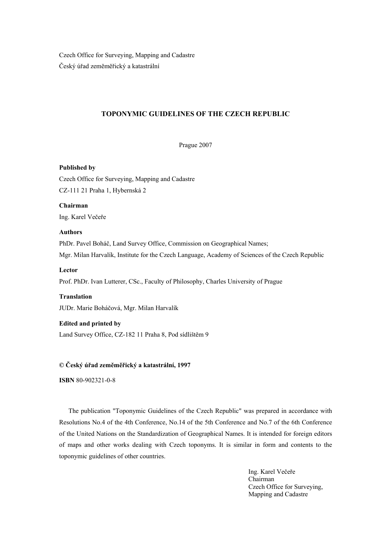Czech Office for Surveying, Mapping and Cadastre Český úřad zeměměřický a katastrální

# **TOPONYMIC GUIDELINES OF THE CZECH REPUBLIC**

Prague 2007

#### **Published by**

Czech Office for Surveying, Mapping and Cadastre CZ-111 21 Praha 1, Hybernská 2

**Chairman**  Ing. Karel Večeře

## **Authors**

PhDr. Pavel Boháč, Land Survey Office, Commission on Geographical Names; Mgr. Milan Harvalík, Institute for the Czech Language, Academy of Sciences of the Czech Republic

## **Lector**

Prof. PhDr. Ivan Lutterer, CSc., Faculty of Philosophy, Charles University of Prague

**Translation**  JUDr. Marie Boháčová, Mgr. Milan Harvalík

#### **Edited and printed by**

Land Survey Office, CZ-182 11 Praha 8, Pod sídlištěm 9

### **© Český úřad zeměměřický a katastrální, 1997**

**ISBN** 80-902321-0-8

The publication "Toponymic Guidelines of the Czech Republic" was prepared in accordance with Resolutions No.4 of the 4th Conference, No.14 of the 5th Conference and No.7 of the 6th Conference of the United Nations on the Standardization of Geographical Names. It is intended for foreign editors of maps and other works dealing with Czech toponyms. It is similar in form and contents to the toponymic guidelines of other countries.

> Ing. Karel Večeře Chairman Czech Office for Surveying, Mapping and Cadastre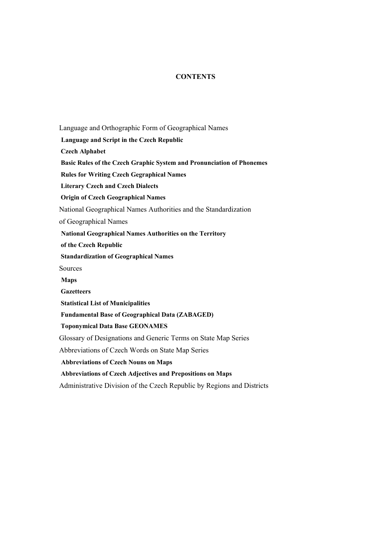# **CONTENTS**

Language and Orthographic Form of Geographical Names **Language and Script in the Czech Republic Czech Alphabet Basic Rules of the Czech Graphic System and Pronunciation of Phonemes Rules for Writing Czech Gegraphical Names Literary Czech and Czech Dialects Origin of Czech Geographical Names** National Geographical Names Authorities and the Standardization of Geographical Names **National Geographical Names Authorities on the Territory of the Czech Republic Standardization of Geographical Names** Sources **Maps Gazetteers Statistical List of Municipalities Fundamental Base of Geographical Data (ZABAGED) Toponymical Data Base GEONAMES**  Glossary of Designations and Generic Terms on State Map Series Abbreviations of Czech Words on State Map Series **Abbreviations of Czech Nouns on Maps Abbreviations of Czech Adjectives and Prepositions on Maps**  Administrative Division of the Czech Republic by Regions and Districts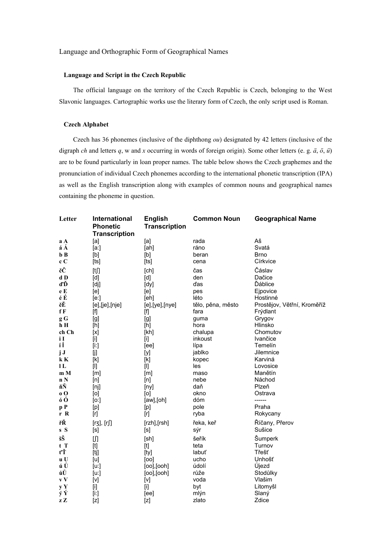## Language and Orthographic Form of Geographical Names

## **Language and Script in the Czech Republic**

The official language on the territory of the Czech Republic is Czech, belonging to the West Slavonic languages. Cartographic works use the literary form of Czech, the only script used is Roman.

## **Czech Alphabet**

Czech has 36 phonemes (inclusive of the diphthong *ou*) designated by 42 letters (inclusive of the digraph *ch* and letters *q*, w and *x* occurring in words of foreign origin). Some other letters (e. g. *ä*, *ö*, *ü*) are to be found particularly in loan proper names. The table below shows the Czech graphemes and the pronunciation of individual Czech phonemes according to the international phonetic transcription (IPA) as well as the English transcription along with examples of common nouns and geographical names containing the phoneme in question.

| Letter                      | International<br><b>Phonetic</b>                                                                                                                                                                                                                                                                                                                                                                                                                                                                                                                                                                                                                                  | <b>English</b><br><b>Transcription</b>                                                                                                                                                                                                                                                                                                                                                                                                                                                                                                                                                                                                                            | <b>Common Noun</b> | <b>Geographical Name</b>    |
|-----------------------------|-------------------------------------------------------------------------------------------------------------------------------------------------------------------------------------------------------------------------------------------------------------------------------------------------------------------------------------------------------------------------------------------------------------------------------------------------------------------------------------------------------------------------------------------------------------------------------------------------------------------------------------------------------------------|-------------------------------------------------------------------------------------------------------------------------------------------------------------------------------------------------------------------------------------------------------------------------------------------------------------------------------------------------------------------------------------------------------------------------------------------------------------------------------------------------------------------------------------------------------------------------------------------------------------------------------------------------------------------|--------------------|-----------------------------|
|                             | <b>Transcription</b>                                                                                                                                                                                                                                                                                                                                                                                                                                                                                                                                                                                                                                              |                                                                                                                                                                                                                                                                                                                                                                                                                                                                                                                                                                                                                                                                   |                    |                             |
| a A                         | [a]                                                                                                                                                                                                                                                                                                                                                                                                                                                                                                                                                                                                                                                               | [a]                                                                                                                                                                                                                                                                                                                                                                                                                                                                                                                                                                                                                                                               | rada               | Aš                          |
| á Á                         | [a!]                                                                                                                                                                                                                                                                                                                                                                                                                                                                                                                                                                                                                                                              | [ah]                                                                                                                                                                                                                                                                                                                                                                                                                                                                                                                                                                                                                                                              | ráno               | Svatá                       |
| $b$ $B$                     | [b]                                                                                                                                                                                                                                                                                                                                                                                                                                                                                                                                                                                                                                                               | [b]                                                                                                                                                                                                                                                                                                                                                                                                                                                                                                                                                                                                                                                               | beran              | <b>Brno</b>                 |
| c C                         | [ts]                                                                                                                                                                                                                                                                                                                                                                                                                                                                                                                                                                                                                                                              | [ts]                                                                                                                                                                                                                                                                                                                                                                                                                                                                                                                                                                                                                                                              | cena               | Církvice                    |
| čČ                          | [t]                                                                                                                                                                                                                                                                                                                                                                                                                                                                                                                                                                                                                                                               | [ <b>ch</b> ]                                                                                                                                                                                                                                                                                                                                                                                                                                                                                                                                                                                                                                                     | čas                | Čáslav                      |
| d D                         | [d]                                                                                                                                                                                                                                                                                                                                                                                                                                                                                                                                                                                                                                                               | [d]                                                                                                                                                                                                                                                                                                                                                                                                                                                                                                                                                                                                                                                               | den                | Dačice                      |
| ďĎ                          | [d]                                                                                                                                                                                                                                                                                                                                                                                                                                                                                                                                                                                                                                                               | [dy]                                                                                                                                                                                                                                                                                                                                                                                                                                                                                                                                                                                                                                                              | ďas                | Ďáblice                     |
| $\mathbf e$ $\mathbf E$     | [e]                                                                                                                                                                                                                                                                                                                                                                                                                                                                                                                                                                                                                                                               | [e]                                                                                                                                                                                                                                                                                                                                                                                                                                                                                                                                                                                                                                                               | pes                | Ejpovice                    |
| éÉ                          | [e:]                                                                                                                                                                                                                                                                                                                                                                                                                                                                                                                                                                                                                                                              | [eh]                                                                                                                                                                                                                                                                                                                                                                                                                                                                                                                                                                                                                                                              | léto               | Hostinné                    |
| ěĚ                          | $[e]$ , [je], [nje]                                                                                                                                                                                                                                                                                                                                                                                                                                                                                                                                                                                                                                               | $[e]$ , [ye], [nye]                                                                                                                                                                                                                                                                                                                                                                                                                                                                                                                                                                                                                                               | tělo, pěna, město  | Prostějov, Větřní, Kroměříž |
| fF                          | [f]                                                                                                                                                                                                                                                                                                                                                                                                                                                                                                                                                                                                                                                               | $[f]$                                                                                                                                                                                                                                                                                                                                                                                                                                                                                                                                                                                                                                                             | fara               | Frýdlant                    |
| $\boldsymbol{\mathsf{g}}$ G | [g]                                                                                                                                                                                                                                                                                                                                                                                                                                                                                                                                                                                                                                                               | [g]                                                                                                                                                                                                                                                                                                                                                                                                                                                                                                                                                                                                                                                               | guma               | Grygov                      |
| $h$ H                       | [h]                                                                                                                                                                                                                                                                                                                                                                                                                                                                                                                                                                                                                                                               |                                                                                                                                                                                                                                                                                                                                                                                                                                                                                                                                                                                                                                                                   | hora               | Hlinsko                     |
| ch Ch                       | [x]                                                                                                                                                                                                                                                                                                                                                                                                                                                                                                                                                                                                                                                               | [kh]                                                                                                                                                                                                                                                                                                                                                                                                                                                                                                                                                                                                                                                              | chalupa            | Chomutov                    |
| i I                         | $[$                                                                                                                                                                                                                                                                                                                                                                                                                                                                                                                                                                                                                                                               | $[1]$                                                                                                                                                                                                                                                                                                                                                                                                                                                                                                                                                                                                                                                             | inkoust            | Ivančice                    |
| íÍ                          | $[1:] % \begin{center} % \includegraphics[width=\linewidth]{imagesSupplemental_3.png} % \end{center} % \caption { % Our method is used for the method. % The method is used in the image. % The method is used in the image. % } % \label{fig:example} %$                                                                                                                                                                                                                                                                                                                                                                                                         | [ee]                                                                                                                                                                                                                                                                                                                                                                                                                                                                                                                                                                                                                                                              | lípa               | Temelín                     |
| j J                         | [j]                                                                                                                                                                                                                                                                                                                                                                                                                                                                                                                                                                                                                                                               | [y]                                                                                                                                                                                                                                                                                                                                                                                                                                                                                                                                                                                                                                                               | jablko             | Jilemnice                   |
| kK                          | [k]                                                                                                                                                                                                                                                                                                                                                                                                                                                                                                                                                                                                                                                               | [k]                                                                                                                                                                                                                                                                                                                                                                                                                                                                                                                                                                                                                                                               | kopec              | Karviná                     |
| 1 <sub>L</sub>              | $[] \centering \includegraphics[width=0.47\textwidth]{images/TrDiM1.png} \caption{The 3D (blue) and 4D (blue) are shown in the left panel.} \label{TrDiM1}$                                                                                                                                                                                                                                                                                                                                                                                                                                                                                                       | $[] \centering \includegraphics[width=0.47\textwidth]{images/TrDiM1.png} \caption{The 3D (blue) and 4D (blue) are shown in the left panel.} \label{TrDiM1}$                                                                                                                                                                                                                                                                                                                                                                                                                                                                                                       | les                | Lovosice                    |
| m M                         | [m]                                                                                                                                                                                                                                                                                                                                                                                                                                                                                                                                                                                                                                                               | [m]                                                                                                                                                                                                                                                                                                                                                                                                                                                                                                                                                                                                                                                               | maso               | Manětín                     |
| n N                         | [n]                                                                                                                                                                                                                                                                                                                                                                                                                                                                                                                                                                                                                                                               | [n]                                                                                                                                                                                                                                                                                                                                                                                                                                                                                                                                                                                                                                                               | nebe               | Náchod                      |
| ňŇ                          | [nj]                                                                                                                                                                                                                                                                                                                                                                                                                                                                                                                                                                                                                                                              | [ny]                                                                                                                                                                                                                                                                                                                                                                                                                                                                                                                                                                                                                                                              | daň                | Plzeň                       |
| 0 <sub>0</sub>              | [0]                                                                                                                                                                                                                                                                                                                                                                                                                                                                                                                                                                                                                                                               | [0]                                                                                                                                                                                                                                                                                                                                                                                                                                                                                                                                                                                                                                                               | okno               | Ostrava                     |
| óÓ                          | [0:]                                                                                                                                                                                                                                                                                                                                                                                                                                                                                                                                                                                                                                                              | $[aw]$ , $[oh]$                                                                                                                                                                                                                                                                                                                                                                                                                                                                                                                                                                                                                                                   | dóm                | -------                     |
| pP                          | $[p] % \begin{center} % \includegraphics[width=\linewidth]{imagesSupplemental_3.png} % \end{center} % \caption { % \textit{DefNet} of the \textit{DefNet} dataset. % Note that the \textit{DefNet} and \textit{DefNet} dataset. % Note that the \textit{DefNet} and \textit{DefNet} dataset. % Note that the \textit{DefNet} and \textit{DefNet} dataset. % Note that the \textit{DefNet} and \textit{DefNet} dataset. % Note that the \textit{DefNet} and \textit{DefNet} dataset. % Note that the \textit{DefNet} and \textit{DefNet} dataset. % Note that the \textit{DefNet} and \textit{DefNet} dataset. % Note that the \textit{DefNet} and \textit{DefNet$ | $[p] % \begin{center} % \includegraphics[width=\linewidth]{imagesSupplemental_3.png} % \end{center} % \caption { % \textit{DefNet} of the \textit{DefNet} dataset. % Note that the \textit{DefNet} and \textit{DefNet} dataset. % Note that the \textit{DefNet} and \textit{DefNet} dataset. % Note that the \textit{DefNet} and \textit{DefNet} dataset. % Note that the \textit{DefNet} and \textit{DefNet} dataset. % Note that the \textit{DefNet} and \textit{DefNet} dataset. % Note that the \textit{DefNet} and \textit{DefNet} dataset. % Note that the \textit{DefNet} and \textit{DefNet} dataset. % Note that the \textit{DefNet} and \textit{DefNet$ | pole               | Praha                       |
| r R                         | [r]                                                                                                                                                                                                                                                                                                                                                                                                                                                                                                                                                                                                                                                               | [r]                                                                                                                                                                                                                                                                                                                                                                                                                                                                                                                                                                                                                                                               | ryba               | Rokycany                    |
| řŘ                          | $[r3]$ , $[r]$                                                                                                                                                                                                                                                                                                                                                                                                                                                                                                                                                                                                                                                    | [rzh],[rsh]                                                                                                                                                                                                                                                                                                                                                                                                                                                                                                                                                                                                                                                       | řeka, keř          | Říčany, Přerov              |
| s S                         | [s]                                                                                                                                                                                                                                                                                                                                                                                                                                                                                                                                                                                                                                                               | [s]                                                                                                                                                                                                                                                                                                                                                                                                                                                                                                                                                                                                                                                               | sýr                | Sušice                      |
| šŠ                          | $\mathfrak{g}$                                                                                                                                                                                                                                                                                                                                                                                                                                                                                                                                                                                                                                                    | [sh]                                                                                                                                                                                                                                                                                                                                                                                                                                                                                                                                                                                                                                                              | šeřík              | Šumperk                     |
| $t$ T                       |                                                                                                                                                                                                                                                                                                                                                                                                                                                                                                                                                                                                                                                                   |                                                                                                                                                                                                                                                                                                                                                                                                                                                                                                                                                                                                                                                                   | teta               | Turnov                      |
| ťŤ                          | [tj]                                                                                                                                                                                                                                                                                                                                                                                                                                                                                                                                                                                                                                                              | [ty]                                                                                                                                                                                                                                                                                                                                                                                                                                                                                                                                                                                                                                                              | labuť              | Třešť                       |
| u U                         | [u]                                                                                                                                                                                                                                                                                                                                                                                                                                                                                                                                                                                                                                                               | [00]                                                                                                                                                                                                                                                                                                                                                                                                                                                                                                                                                                                                                                                              | ucho               | Unhošť                      |
| ú Ú                         | $[u:$ ]                                                                                                                                                                                                                                                                                                                                                                                                                                                                                                                                                                                                                                                           | $[oo]$ , $[ooh]$                                                                                                                                                                                                                                                                                                                                                                                                                                                                                                                                                                                                                                                  | údolí              | Újezd                       |
| ůŮ                          | [u:                                                                                                                                                                                                                                                                                                                                                                                                                                                                                                                                                                                                                                                               | $[oo]$ , $[ooh]$                                                                                                                                                                                                                                                                                                                                                                                                                                                                                                                                                                                                                                                  | růže               | Stodůlky                    |
| $\mathbf{v} \; \mathbf{V}$  | $[v]$                                                                                                                                                                                                                                                                                                                                                                                                                                                                                                                                                                                                                                                             | $[\vee]$                                                                                                                                                                                                                                                                                                                                                                                                                                                                                                                                                                                                                                                          | voda               | Vlašim                      |
| $\mathbf{y} \; \mathbf{Y}$  | $[] \centering \includegraphics[width=0.47\textwidth]{images/TrDiM1.png} \caption{The 3D (blue) and 4D (blue) are shown in the left panel.} \label{TrDiM1}$                                                                                                                                                                                                                                                                                                                                                                                                                                                                                                       | $[] \centering \includegraphics[width=0.47\textwidth]{images/TrDiM1.png} \caption{The 3D (blue) and 4D (blue) are shown in the left panel.} \label{TrDiM1.png}$                                                                                                                                                                                                                                                                                                                                                                                                                                                                                                   | byt                | Litomyšl                    |
| ýÝ                          | $[$ i:]                                                                                                                                                                                                                                                                                                                                                                                                                                                                                                                                                                                                                                                           | [ee]                                                                                                                                                                                                                                                                                                                                                                                                                                                                                                                                                                                                                                                              | mlýn               | Slaný                       |
| z Z                         | $[<]$                                                                                                                                                                                                                                                                                                                                                                                                                                                                                                                                                                                                                                                             |                                                                                                                                                                                                                                                                                                                                                                                                                                                                                                                                                                                                                                                                   | zlato              | Zdice                       |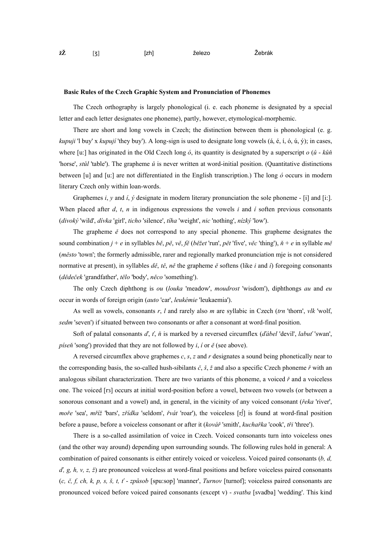| ∵. | $\sim$<br>žŽ | - | izh1 | železo | Žebrák |
|----|--------------|---|------|--------|--------|
|----|--------------|---|------|--------|--------|

#### **Basic Rules of the Czech Graphic System and Pronunciation of Phonemes**

The Czech orthography is largely phonological (i. e. each phoneme is designated by a special letter and each letter designates one phoneme), partly, however, etymological-morphemic.

There are short and long vowels in Czech; the distinction between them is phonological (e. g. *kupuji* 'l buy' x *kupují* 'they buy'). A long-sign is used to designate long vowels (á, é, í, ó, ú, ý); in cases, where [u:] has originated in the Old Czech long *ó*, its quantity is designated by a superscript *o* (*ů* - *kůň* 'horse', *stůl* 'table'). The grapheme *ů* is never written at word-initial position. (Quantitative distinctions between [u] and [u:] are not differentiated in the English transcription.) The long *ó* occurs in modern literary Czech only within loan-words.

Graphemes *i*, *y* and *í*, *ý* designate in modern literary pronunciation the sole phoneme - [i] and [i:]. When placed after  $d$ ,  $t$ ,  $n$  in indigenous expressions the vowels  $i$  and  $i$  soften previous consonants (*divoký* 'wild', *dívka* 'girl', *ticho* 'silence', *tíha* 'weight', *nic* 'nothing', *nízký* 'low').

The grapheme *ě* does not correspond to any special phoneme. This grapheme designates the sound combination  $j + e$  in syllables bě, pě, vě, fě (běžet 'run', pět 'five', věc 'thing'),  $\check{n} + e$  in syllable  $m\check{e}$ (*město* 'town'; the formerly admissible, rarer and regionally marked pronunciation mje is not considered normative at present), in syllables *dě*, *tě*, *ně* the grapheme *ě* softens (like *i* and *í*) foregoing consonants (*dědeček* 'grandfather', *tělo* 'body', *něco* 'something').

The only Czech diphthong is *ou* (*louka* 'meadow', *moudrost* 'wisdom'), diphthongs *au* and *eu* occur in words of foreign origin (*auto* 'car', *leukémie* 'leukaemia').

As well as vowels, consonants *r*, *l* and rarely also *m* are syllabic in Czech (*trn* 'thorn', *vlk* 'wolf, *sedm* 'seven') if situated between two consonants or after a consonant at word-final position.

Soft of palatal consonants *ď*, *ť*, *ň* is marked by a reversed circumflex (*ďábel* 'devil', *labuť* 'swan', *píseň* 'song') provided that they are not followed by *i*, *í* or *ě* (see above).

A reversed circumflex above graphemes *c*, *s*, *z* and *r* designates a sound being phonetically near to the corresponding basis, the so-called hush-sibilants *č*, *š*, *ž* and also a specific Czech phoneme *ř* with an analogous sibilant characterization. There are two variants of this phoneme, a voiced *ř* and a voiceless one. The voiced [rз] occurs at initial word-position before a vowel, between two vowels (or between a sonorous consonant and a vowel) and, in general, in the vicinity of any voiced consonant (*řeka* 'river', *moře* 'sea', *mříž* 'bars', *zřídka* 'seldom', *řvát* 'roar'), the voiceless [r∫] is found at word-final position before a pause, before a voiceless consonant or after it (*kovář* 'smith', *kuchařka* 'cook', *tři* 'three').

There is a so-called assimilation of voice in Czech. Voiced consonants turn into voiceless ones (and the other way around) depending upon surrounding sounds. The following rules hold in general: A combination of paired consonants is either entirely voiced or voiceless. Voiced paired consonants (*b, d, ď, g, h, v, z, ž*) are pronounced voiceless at word-final positions and before voiceless paired consonants (*c, č, f, ch, k, p, s, š, t, ť* - *způsob* [spu:sop] 'manner', *Turnov* [turnof]; voiceless paired consonants are pronounced voiced before voiced paired consonants (except v) - *svatba* [svadba] 'wedding'. This kind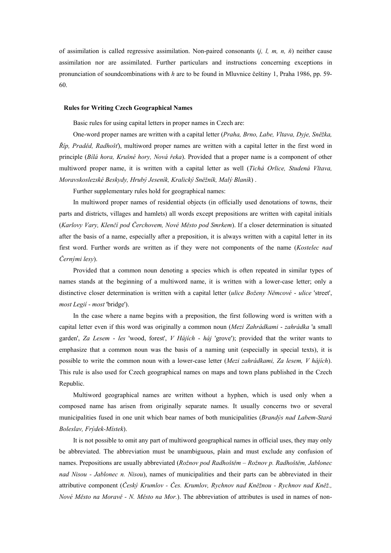of assimilation is called regressive assimilation. Non-paired consonants (*j, l, m, n, ň*) neither cause assimilation nor are assimilated. Further particulars and instructions concerning exceptions in pronunciation of soundcombinations with *h* are to be found in Mluvnice češtiny 1, Praha 1986, pp. 59- 60.

#### **Rules for Writing Czech Geographical Names**

Basic rules for using capital letters in proper names in Czech are:

One-word proper names are written with a capital letter (*Praha, Brno, Labe, Vltava, Dyje, Sněžka, Říp, Praděd, Radhošť*), multiword proper names are written with a capital letter in the first word in principle (*Bílá hora, Krušné hory, Nová řeka*). Provided that a proper name is a component of other multiword proper name, it is written with a capital letter as well (*Tichá Orlice, Studená Vltava, Moravskoslezské Beskydy, Hrubý Jeseník, Kralický Sněžník, Malý Blaník*) .

Further supplementary rules hold for geographical names:

In multiword proper names of residential objects (in officially used denotations of towns, their parts and districts, villages and hamlets) all words except prepositions are written with capital initials (*Karlovy Vary, Klenčí pod Čerchovem, Nové Město pod Smrkem*). If a closer determination is situated after the basis of a name, especially after a preposition, it is always written with a capital letter in its first word. Further words are written as if they were not components of the name (*Kostelec nad Černými lesy*).

Provided that a common noun denoting a species which is often repeated in similar types of names stands at the beginning of a multiword name, it is written with a lower-case letter; only a distinctive closer determination is written with a capital letter (*ulice Boženy Němcové* - *ulice* 'street', *most Legií* - *most* 'bridge').

In the case where a name begins with a preposition, the first following word is written with a capital letter even if this word was originally a common noun (*Mezi Zahrádkami* - *zahrádka* 'a small garden', *Za Lesem* - *les* 'wood, forest', *V Hájích* - *háj* 'grove'); provided that the writer wants to emphasize that a common noun was the basis of a naming unit (especially in special texts), it is possible to write the common noun with a lower-case letter (*Mezi zahrádkami, Za lesem, V hájích*). This rule is also used for Czech geographical names on maps and town plans published in the Czech Republic.

Multiword geographical names are written without a hyphen, which is used only when a composed name has arisen from originally separate names. It usually concerns two or several municipalities fused in one unit which bear names of both municipalities (*Brandýs nad Labem-Stará Boleslav, Frýdek-Místek*).

It is not possible to omit any part of multiword geographical names in official uses, they may only be abbreviated. The abbreviation must be unambiguous, plain and must exclude any confusion of names. Prepositions are usually abbreviated (*Rožnov pod Radhoštěm – Rožnov p. Radhoštěm, Jablonec nad Nisou - Jablonec n. Nisou*), names of municipalities and their parts can be abbreviated in their attributive component (*Český Krumlov - Čes. Krumlov, Rychnov nad Kněžnou - Rychnov nad Kněž., Nové Město na Moravě - N. Město na Mor.*). The abbreviation of attributes is used in names of non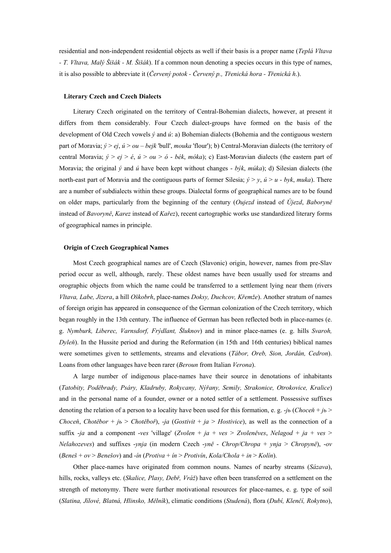residential and non-independent residential objects as well if their basis is a proper name (*Teplá Vltava - T. Vltava, Malý Šišák - M. Šišák*). If a common noun denoting a species occurs in this type of names, it is also possible to abbreviate it (*Červený potok - Červený p., Třenická hora - Třenická h*.).

## **Literary Czech and Czech Dialects**

Literary Czech originated on the territory of Central-Bohemian dialects, however, at present it differs from them considerably. Four Czech dialect-groups have formed on the basis of the development of Old Czech vowels *ý* and *ú*: a) Bohemian dialects (Bohemia and the contiguous western part of Moravia; *ý* > *ej*, *ú* > *ou* – *bejk* 'bull', *mouka* 'flour'); b) Central-Moravian dialects (the territory of central Moravia; *ý* > *ej* > *é*, *ú* > *ou* > *ó* - *bék*, *móka*); c) East-Moravian dialects (the eastern part of Moravia; the original *ý* and *ú* have been kept without changes - *býk*, *múka*); d) Silesian dialects (the north-east part of Moravia and the contiguous parts of former Silesia; *ý* > *y*, *ú* > *u* - *byk*, *muka*). There are a number of subdialects within these groups. Dialectal forms of geographical names are to be found on older maps, particularly from the beginning of the century (*Oujezd* instead of *Újezd*, *Baboryně* instead of *Bavoryně*, *Karez* instead of *Kařez*), recent cartographic works use standardized literary forms of geographical names in principle.

#### **Origin of Czech Geographical Names**

Most Czech geographical names are of Czech (Slavonic) origin, however, names from pre-Slav period occur as well, although, rarely. These oldest names have been usually used for streams and orographic objects from which the name could be transferred to a settlement lying near them (rivers *Vltava, Labe, Jizera*, a hill *Oškobrh*, place-names *Doksy, Duchcov, Křemže*). Another stratum of names of foreign origin has appeared in consequence of the German colonization of the Czech territory, which began roughly in the 13th century. The influence of German has been reflected both in place-names (e. g. *Nymburk, Liberec, Varnsdorf, Frýdlant, Šluknov*) and in minor place-names (e. g. hills *Svaroh, Dyleň*). In the Hussite period and during the Reformation (in 15th and 16th centuries) biblical names were sometimes given to settlements, streams and elevations (*Tábor, Oreb, Sion, Jordán, Cedron*). Loans from other languages have been rarer (*Beroun* from Italian *Verona*).

A large number of indigenous place-names have their source in denotations of inhabitants (*Tatobity, Poděbrady, Psáry, Kladruby, Rokycany, Nýřany, Semily, Strakonice, Otrokovice, Kralice*) and in the personal name of a founder, owner or a noted settler of a settlement. Possessive suffixes denoting the relation of a person to a locality have been used for this formation, e. g. -*jь* (*Choceň* + *jь* > *Choceň*, *Chotěbor* + *j<sub>b</sub>* > *Chotěboř*), -*ja* (*Gostivit* + *ja* > *Hostivice*), as well as the connection of a suffix  $-i\alpha$  and a component -*ves* 'village' (*Zvolen* +  $ja$  + *ves* > *Zvoleněves*, *Nelagod* +  $ja$  + *ves* > *Nelahozeves*) and suffixes -*ynja* (in modern Czech -*yně* - *Chrop/Chropa* + *ynja* > *Chropyně*), -*ov* (*Beneš* + *ov* > *Benešov*) and -*ín* (*Protiva* + *ín* > *Protivín*, *Kola/Chola* + *in* > *Kolín*).

Other place-names have originated from common nouns. Names of nearby streams (*Sázava*), hills, rocks, valleys etc. (*Skalice, Plasy, Debř, Vráž*) have often been transferred on a settlement on the strength of metonymy. There were further motivational resources for place-names, e. g. type of soil (*Slatina, Jílové, Blatná, Hlinsko, Mělník*), climatic conditions (*Studená*), flora (*Dubí, Klenčí, Rokytno*),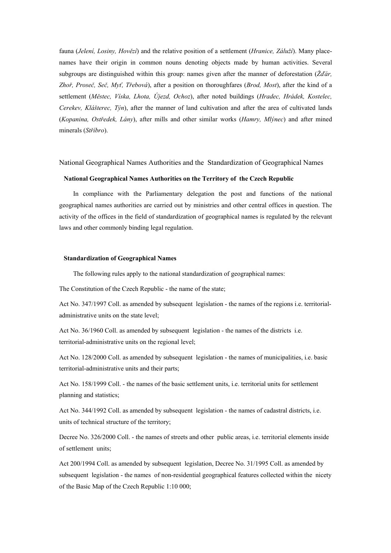fauna (*Jelení, Losiny, Hovězí*) and the relative position of a settlement (*Hranice, Záluží*). Many placenames have their origin in common nouns denoting objects made by human activities. Several subgroups are distinguished within this group: names given after the manner of deforestation (*Žďár, Zhoř, Proseč, Seč, Myť, Třebová*), after a position on thoroughfares (*Brod, Most*), after the kind of a settlement (*Městec, Víska, Lhota, Újezd, Ochoz*), after noted buildings (*Hradec, Hrádek, Kostelec, Cerekev, Klášterec, Týn*), after the manner of land cultivation and after the area of cultivated lands (*Kopanina, Ostředek, Lány*), after mills and other similar works (*Hamry, Mlýnec*) and after mined minerals (*Stříbro*).

National Geographical Names Authorities and the Standardization of Geographical Names

### **National Geographical Names Authorities on the Territory of the Czech Republic**

In compliance with the Parliamentary delegation the post and functions of the national geographical names authorities are carried out by ministries and other central offices in question. The activity of the offices in the field of standardization of geographical names is regulated by the relevant laws and other commonly binding legal regulation.

## **Standardization of Geographical Names**

The following rules apply to the national standardization of geographical names:

The Constitution of the Czech Republic - the name of the state;

Act No. 347/1997 Coll. as amended by subsequent legislation - the names of the regions i.e. territorialadministrative units on the state level;

Act No. 36/1960 Coll. as amended by subsequent legislation - the names of the districts i.e. territorial-administrative units on the regional level;

Act No. 128/2000 Coll. as amended by subsequent legislation - the names of municipalities, i.e. basic territorial-administrative units and their parts;

Act No. 158/1999 Coll. - the names of the basic settlement units, i.e. territorial units for settlement planning and statistics;

Act No. 344/1992 Coll. as amended by subsequent legislation - the names of cadastral districts, i.e. units of technical structure of the territory;

Decree No. 326/2000 Coll. - the names of streets and other public areas, i.e. territorial elements inside of settlement units;

Act 200/1994 Coll. as amended by subsequent legislation, Decree No. 31/1995 Coll. as amended by subsequent legislation - the names of non-residential geographical features collected within the nicety of the Basic Map of the Czech Republic 1:10 000;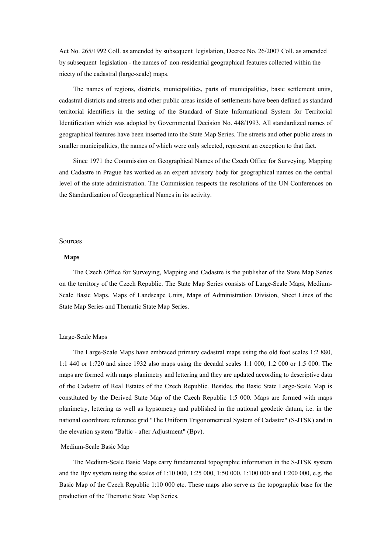Act No. 265/1992 Coll. as amended by subsequent legislation, Decree No. 26/2007 Coll. as amended by subsequent legislation - the names of non-residential geographical features collected within the nicety of the cadastral (large-scale) maps.

The names of regions, districts, municipalities, parts of municipalities, basic settlement units, cadastral districts and streets and other public areas inside of settlements have been defined as standard territorial identifiers in the setting of the Standard of State Informational System for Territorial Identification which was adopted by Governmental Decision No. 448/1993. All standardized names of geographical features have been inserted into the State Map Series. The streets and other public areas in smaller municipalities, the names of which were only selected, represent an exception to that fact.

Since 1971 the Commission on Geographical Names of the Czech Office for Surveying, Mapping and Cadastre in Prague has worked as an expert advisory body for geographical names on the central level of the state administration. The Commission respects the resolutions of the UN Conferences on the Standardization of Geographical Names in its activity.

### Sources

#### **Maps**

The Czech Office for Surveying, Mapping and Cadastre is the publisher of the State Map Series on the territory of the Czech Republic. The State Map Series consists of Large-Scale Maps, Medium-Scale Basic Maps, Maps of Landscape Units, Maps of Administration Division, Sheet Lines of the State Map Series and Thematic State Map Series.

#### Large-Scale Maps

The Large-Scale Maps have embraced primary cadastral maps using the old foot scales 1:2 880, 1:1 440 or 1:720 and since 1932 also maps using the decadal scales 1:1 000, 1:2 000 or 1:5 000. The maps are formed with maps planimetry and lettering and they are updated according to descriptive data of the Cadastre of Real Estates of the Czech Republic. Besides, the Basic State Large-Scale Map is constituted by the Derived State Map of the Czech Republic 1:5 000. Maps are formed with maps planimetry, lettering as well as hypsometry and published in the national geodetic datum, i.e. in the national coordinate reference grid "The Uniform Trigonometrical System of Cadastre" (S-JTSK) and in the elevation system "Baltic - after Adjustment" (Bpv).

#### Medium-Scale Basic Map

The Medium-Scale Basic Maps carry fundamental topographic information in the S-JTSK system and the Bpv system using the scales of 1:10 000, 1:25 000, 1:50 000, 1:100 000 and 1:200 000, e.g. the Basic Map of the Czech Republic 1:10 000 etc. These maps also serve as the topographic base for the production of the Thematic State Map Series.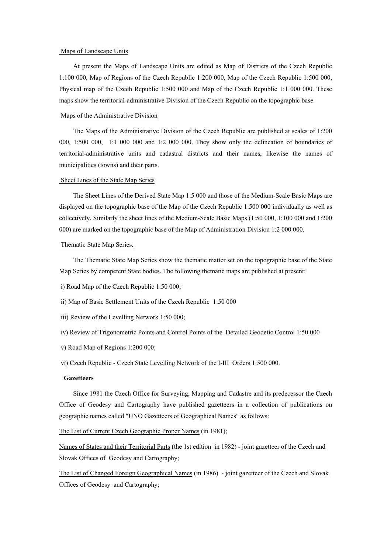#### Maps of Landscape Units

At present the Maps of Landscape Units are edited as Map of Districts of the Czech Republic 1:100 000, Map of Regions of the Czech Republic 1:200 000, Map of the Czech Republic 1:500 000, Physical map of the Czech Republic 1:500 000 and Map of the Czech Republic 1:1 000 000. These maps show the territorial-administrative Division of the Czech Republic on the topographic base.

### Maps of the Administrative Division

The Maps of the Administrative Division of the Czech Republic are published at scales of 1:200 000, 1:500 000, 1:1 000 000 and 1:2 000 000. They show only the delineation of boundaries of territorial-administrative units and cadastral districts and their names, likewise the names of municipalities (towns) and their parts.

#### Sheet Lines of the State Map Series

The Sheet Lines of the Derived State Map 1:5 000 and those of the Medium-Scale Basic Maps are displayed on the topographic base of the Map of the Czech Republic 1:500 000 individually as well as collectively. Similarly the sheet lines of the Medium-Scale Basic Maps (1:50 000, 1:100 000 and 1:200 000) are marked on the topographic base of the Map of Administration Division 1:2 000 000.

#### Thematic State Map Series.

The Thematic State Map Series show the thematic matter set on the topographic base of the State Map Series by competent State bodies. The following thematic maps are published at present:

- i) Road Map of the Czech Republic 1:50 000;
- ii) Map of Basic Settlement Units of the Czech Republic 1:50 000
- iii) Review of the Levelling Network 1:50 000;
- iv) Review of Trigonometric Points and Control Points of the Detailed Geodetic Control 1:50 000
- v) Road Map of Regions 1:200 000;

vi) Czech Republic - Czech State Levelling Network of the I-III Orders 1:500 000.

## **Gazetteers**

Since 1981 the Czech Office for Surveying, Mapping and Cadastre and its predecessor the Czech Office of Geodesy and Cartography have published gazetteers in a collection of publications on geographic names called "UNO Gazetteers of Geographical Names" as follows:

The List of Current Czech Geographic Proper Names (in 1981);

Names of States and their Territorial Parts (the 1st edition in 1982) - joint gazetteer of the Czech and Slovak Offices of Geodesy and Cartography;

The List of Changed Foreign Geographical Names (in 1986) - joint gazetteer of the Czech and Slovak Offices of Geodesy and Cartography;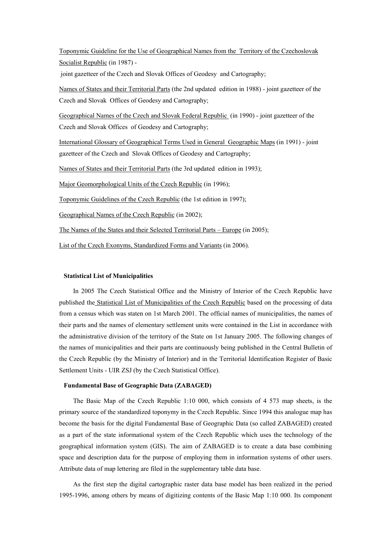Toponymic Guideline for the Use of Geographical Names from the Territory of the Czechoslovak Socialist Republic (in 1987) -

joint gazetteer of the Czech and Slovak Offices of Geodesy and Cartography;

Names of States and their Territorial Parts (the 2nd updated edition in 1988) - joint gazetteer of the Czech and Slovak Offices of Geodesy and Cartography;

Geographical Names of the Czech and Slovak Federal Republic (in 1990) - joint gazetteer of the Czech and Slovak Offices of Geodesy and Cartography;

International Glossary of Geographical Terms Used in General Geographic Maps (in 1991) - joint gazetteer of the Czech and Slovak Offices of Geodesy and Cartography;

Names of States and their Territorial Parts (the 3rd updated edition in 1993);

Major Geomorphological Units of the Czech Republic (in 1996);

Toponymic Guidelines of the Czech Republic (the 1st edition in 1997);

Geographical Names of the Czech Republic (in 2002);

The Names of the States and their Selected Territorial Parts – Europe (in 2005);

List of the Czech Exonyms, Standardized Forms and Variants (in 2006).

### **Statistical List of Municipalities**

In 2005 The Czech Statistical Office and the Ministry of Interior of the Czech Republic have published the Statistical List of Municipalities of the Czech Republic based on the processing of data from a census which was staten on 1st March 2001. The official names of municipalities, the names of their parts and the names of elementary settlement units were contained in the List in accordance with the administrative division of the territory of the State on 1st January 2005. The following changes of the names of municipalities and their parts are continuously being published in the Central Bulletin of the Czech Republic (by the Ministry of Interior) and in the Territorial Identification Register of Basic Settlement Units - UIR ZSJ (by the Czech Statistical Office).

## **Fundamental Base of Geographic Data (ZABAGED)**

The Basic Map of the Czech Republic 1:10 000, which consists of 4 573 map sheets, is the primary source of the standardized toponymy in the Czech Republic. Since 1994 this analogue map has become the basis for the digital Fundamental Base of Geographic Data (so called ZABAGED) created as a part of the state informational system of the Czech Republic which uses the technology of the geographical information system (GIS). The aim of ZABAGED is to create a data base combining space and description data for the purpose of employing them in information systems of other users. Attribute data of map lettering are filed in the supplementary table data base.

As the first step the digital cartographic raster data base model has been realized in the period 1995-1996, among others by means of digitizing contents of the Basic Map 1:10 000. Its component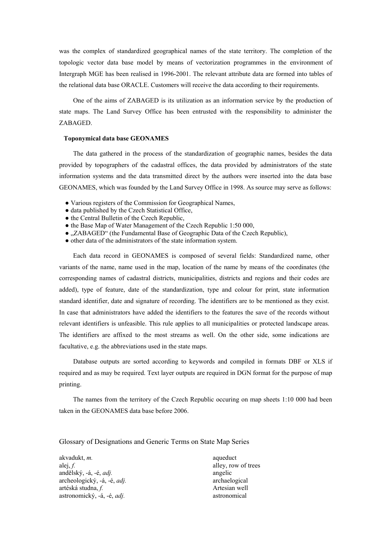was the complex of standardized geographical names of the state territory. The completion of the topologic vector data base model by means of vectorization programmes in the environment of Intergraph MGE has been realised in 1996-2001. The relevant attribute data are formed into tables of the relational data base ORACLE. Customers will receive the data according to their requirements.

One of the aims of ZABAGED is its utilization as an information service by the production of state maps. The Land Survey Office has been entrusted with the responsibility to administer the ZABAGED.

#### **Toponymical data base GEONAMES**

The data gathered in the process of the standardization of geographic names, besides the data provided by topographers of the cadastral offices, the data provided by administrators of the state information systems and the data transmitted direct by the authors were inserted into the data base GEONAMES, which was founded by the Land Survey Office in 1998. As source may serve as follows:

- Various registers of the Commission for Geographical Names,
- data published by the Czech Statistical Office,
- the Central Bulletin of the Czech Republic,
- the Base Map of Water Management of the Czech Republic 1:50 000,
- "ZABAGED" (the Fundamental Base of Geographic Data of the Czech Republic),
- other data of the administrators of the state information system.

Each data record in GEONAMES is composed of several fields: Standardized name, other variants of the name, name used in the map, location of the name by means of the coordinates (the corresponding names of cadastral districts, municipalities, districts and regions and their codes are added), type of feature, date of the standardization, type and colour for print, state information standard identifier, date and signature of recording. The identifiers are to be mentioned as they exist. In case that administrators have added the identifiers to the features the save of the records without relevant identifiers is unfeasible. This rule applies to all municipalities or protected landscape areas. The identifiers are affixed to the most streams as well. On the other side, some indications are facultative, e.g. the abbreviations used in the state maps.

Database outputs are sorted according to keywords and compiled in formats DBF or XLS if required and as may be required. Text layer outputs are required in DGN format for the purpose of map printing.

The names from the territory of the Czech Republic occuring on map sheets 1:10 000 had been taken in the GEONAMES data base before 2006.

Glossary of Designations and Generic Terms on State Map Series

| akvadukt, <i>m</i> .                | aqueduct            |
|-------------------------------------|---------------------|
| alej, f.                            | alley, row of trees |
| andělský, -á, -é, <i>adj</i> .      | angelic             |
| archeologický, -á, -é, <i>adj</i> . | archaelogical       |
| artéská studna, f.                  | Artesian well       |
| astronomický, -á, -é, <i>adj</i> .  | astronomical        |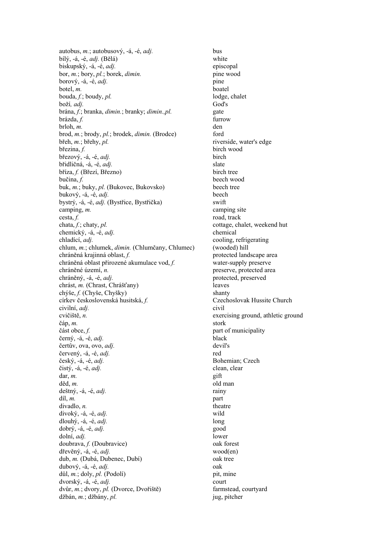autobus, *m.*; autobusový, -á, -é, *adj.* bus bílý, -á, -é, *adj.* (Bělá) white biskupský, -á, -é, *adj.* episcopal bor, *m.*; bory, *pl.*; borek, *dimin.* pine wood borový, -á, -é, *adj*. pine botel, *m*. boatel bouda, *f.*; boudy, *pl.* lodge, chalet boží*, adj.* God's brána, *f.*; branka, *dimin.*; branky; *dimin.,pl.* gate brázda, *f.* furrow brloh, *m.* den brod, *m.*; brody, *pl.*; brodek, *dimin.* (Brodce) ford břeh, *m.*; břehy, *pl.* riverside, water's edge březina, *f.* birch wood březový, -á, -é, *adj.* birch břidličná, -á, -é, *adj*. slate bříza, *f.* (Březí, Březno) birch tree bučina, *f.* beech wood buk, *m.*; buky, *pl.* (Bukovec, Bukovsko) beech tree bukový, -á, -é, *adj.* beech bystrý, -á, -é, *adj.* (Bystřice, Bystřička) swift camping, m. camping site cesta, *f*. road, track chata, *f*; chaty, *pl*. cottage, ch chemický, -á, -é, *adj.* chemical chladící, *adj.* cooling, refrigerating chlum, *m.*; chlumek, *dimin.* (Chlumčany, Chlumec) (wooded) hill chráněná krajinná oblast, *f.* protected landscape area chráněná oblast přirozené akumulace vod, *f.* water-supply preserve chráněné území, *n.* preserve, protected area chráněný, -á, -é, *adj.* protected, preserved chrást, *m.* (Chrast, Chrášťany) leaves chýše, *f.* (Chyše, Chyšky) shanty církev československá husitská, *f.* Czechoslovak Hussite Church civilní, *adj.* civil cvičiště, *n.* exercising ground, athletic ground čáp, *m.* stork část obce, *f.* part of municipality černý, -á, -é, *adj.* black čertův, ova, ovo, *adj.* devil's červený, -á, -é, *adj.* red český, -á, -é, *adj.* Bohemian; Czech čistý, -á, -é, *adj.* clean, clear dar, *m.* gift děd, *m*. deštný, -á, -é, *adj.* rainy díl, *m.* part divadlo, *n*. divoký, -á, -é, *adj.* wild dlouhý, -á, -é, *adj.* long dobrý, -á, -é, *adj.* good dolní, *adj.* lower doubrava, *f.* (Doubravice) oak forest dřevěný, -á, -é, *adj.* wood(en) dub, *m.* (Dubá, Dubenec, Dubí) oak tree dubový, -á, -é, *adj.* oak důl, *m.*; doly, *pl.* (Podolí) pit, mine dvorský, -á, -é, *adj.* court dvůr, *m.*; dvory, *pl.* (Dvorce, Dvořiště) farmstead, courtyard džbán, *m.*; džbány, *pl.* jug, pitcher

cottage, chalet, weekend hut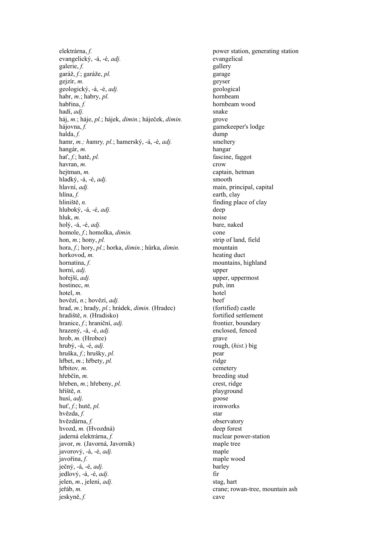elektrárna, *f.* power station, generating station evangelický, -á, -é, *adj.* evangelical galerie, f. galerie, galery garáž, *f.*; garáže, *pl.* garage gejzír, *m.* geyser geologický, -á, -é, *adj.* geological habr, *m.*; habry, *pl.* hornbeam habřina, *f.* hornbeam wood hadí *adi* snake hadí, adj. háj, *m.*; háje, *pl.*; hájek, *dimin.*; háječek, *dimin.* grove hájovna, *f.* gamekeeper's lodge halda, *f.* dump hamr, *m.; hamry, pl.*; hamerský, -á, -é, *adj.* smeltery hangár, *m.* hangar hať, *f.*; hatě, *pl.* fascine, faggot havran, *m.* crow hejtman, *m.* captain, hetman hladký, -á, -é, *adj.* smooth hlavní, *adj.* main, principal, capital hlína, *f.* earth, clay hliniště, *n*. finding place of clay hluboký, -á, -é, *adj*. deep hluk, *m*. noise holý, -á, -é, *adj.* bare, naked homole, *f.*; homolka, *dimin.* cone hon, *m*.; hony, *pl.* strip of land, field hora, *f.*; hory, *pl.*; horka, *dimin.*; hůrka, *dimin.* mountain horkovod, *m.* heating duct hornatina, f. mountains, highland horní, *adj.* upper hořejší, *adj.* upper, uppermost hostinec, *m*. pub, inn hotel, *m*. hotel hovězí, *n.*; hovězí, *adj.* beef hrad, *m.*; hrady, *pl.*; hrádek, *dimin.* (Hradec) (fortified) castle hradiště, *n.* (Hradisko) fortified settlement hranice, *f.*; hraniční, *adj.* frontier, boundary hrazený, -á, -é, *adj.* enclosed, fenced hrob, *m.* (Hrobce) grave hrubý, -á, -é, *adj.* rough, (*hist.*) big hruška, *f.*; hrušky, *pl.* pear hřbet, *m.*; hřbety, *pl.* ridge hřbitov, *m*. cemetery hřebčín, *m.* breeding stud hřeben, *m.*; hřebeny, *pl.* crest, ridge hřiště, *n.* playground husí, *adj.* pose husí, *adj.* huť, *f.*; hutě, *pl.* ironworks hvězda, *f.* star hvězdárna, *f.* observatory hvozd, *m.* (Hvozdná) deep forest jaderná elektrárna, *f.* nuclear power-station javor, *m.* (Javorná, Javorník) maple tree javorový, -á, -é, *adj.* maple javořina, *f.* maple wood ječný, -á, -é, *adj.* barley  $j$ edlový,  $-i$ ,  $-i$ ,  $adj$ . **fix** jelen, *m.*, jelení, *adj.* stag, hart jeřáb, *m.* crane; rowan-tree, mountain ash jeskyně, *f.* cave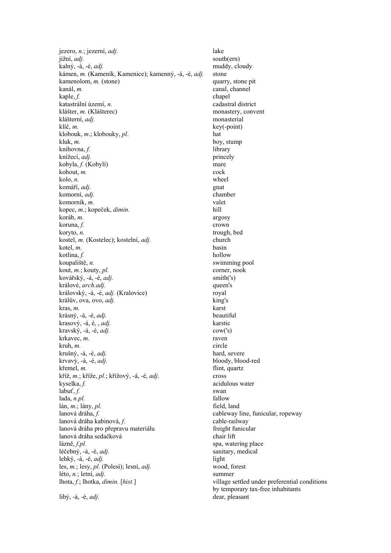jezero, *n.*; jezerní, *adj.* lake jižní, *adj.* south(ern) kalný, -á, -é, *adj.* muddy, cloudy kámen, *m.* (Kameník, Kamenice); kamenný, -á, -é, *adj.* stone kamenolom, *m.* (stone) quarry, stone pit kanál, *m.* canal, channel kaple, *f.* chapel katastrální území, *n.* cadastral district klášter, *m.* (Klášterec) monastery, convent klášterní, *adj.* monasterial klíč, *m.* key(-point) klobouk, *m*.; klobouky, *pl*. hat kluk, *m.* boy, stump knihovna, *f.* library knížecí, *adj.* princely kobyla, *f.* (Kobylí) mare kohout, *m*. cock kolo, *n.* wheel komáří, *adj.* gnat komorní, *adj.* chamber komorník, *m.* valet kopec, *m.*; kopeček, *dimin.* hill koráb, *m.* argosy koruna, *f.* crown koryto, *n.* trough, bed kostel, *m.* (Kostelec); kostelní, *adj.* church kotel, *m*. basin kotlina, *f.* hollow koupaliště, *n.* swimming pool kout, *m*.; kouty, *pl.* corner, nook kovářský, -á, -é, *adj*. smith('s) králové, *arch.adj.* queen's královský, -á, -é, *adj.* (Kralovice) royal králův, ova, ovo, *adj.* king's kras, *m.* karst krásný, -á, -é, *adj.* beautiful krasový, -á, é, , *adj.* karstic kravský, -á, -é, *adj.* cow('s) krkavec, *m.* raven kruh, *m.* circle krušný, -á, -é, *adj.* hard, severe krvavý, -á, -é, *adj.* bloody, blood-red křemel, *m.* flint, quartz kříž, *m.*; kříže, *pl.*; křížový, -á, -é, *adj*. cross kyselka, *f.* acidulous water labuť, *f.* swan lada, *n.pl.* fallow fallow fallow field, land fallow field, land lán, *m*.; lány, *pl.*<br>lanová dráha. f. lanová dráha kabinová, *f.* cable-railway<br>lanová dráha pro přepravu materiálu freight funicular lanová dráha pro přepravu materiálu freight functional freight function freight function freight function function freight function  $\ln$ lanová dráha sedačková lázně, *f.pl.* spa, watering place léčebný, -á, -é, *adj*. sanitary, medical lehký, -á, -é, *adj*.<br>
les. *m*.: lesv. *pl.* (Polesí); lesní, *adj.* vood, forest vood, forest les, *m.*; lesy, *pl.* (Polesí); lesní, *adj.* léto, *n.*; letní, *adj.* summer lhota, *f.*; lhotka, *dimin.* [*hist.*] village settled under preferential conditions

cableway line, funicular, ropeway cable-railway by temporary tax-free inhabitants libý, -á, -é, *adj.* dear, pleasant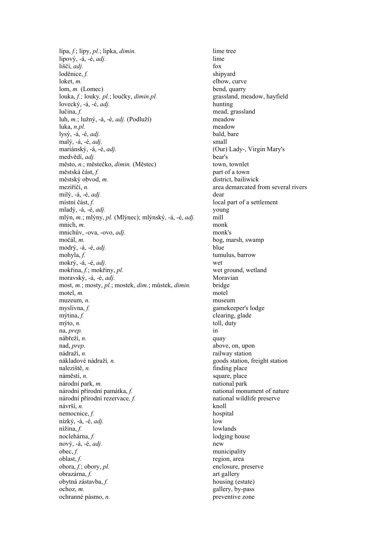lípa, *f.*; lípy, *pl.*; lipka, *dimin.* lime tree lipový, -á, -é, *adj.* lime liščí, *adj*. fox loděnice, *f.* shipyard loket, *m*. elbow, curve lom, *m.* (Lomec) bend, quarry louka, *f.;* louky*, pl.*; loučky, *dimin.pl.* grassland, meadow, hayfield lovecký, -á, -é, *adj.* hunting lučina, *f.* mead, grassland<br>luh. *m*.: lužný. -á. -é. *adi*. (Podluží) meadow meadow luh,  $m$ .; lužný, -á, -é, *adj*. (Podluží) luka, *n.pl.* meadow lysý, -á, -é, *adj.* bald, bare malý, -á, -é, *adj.* small mariánský, -á, -é, *adj.* (Our) Lady-, Virgin Mary's medvědí, *adj.* bear's město, *n.*; městečko, *dimin.* (Městec) town, townlet městská část, *f.* part of a town městský obvod, *m.* district, bailiwick meziříčí, *n*. area demarcated from several rivers milý, -á, -é, *adj.* dear místní část, *f.* local part of a settlement mladý, -á, -é, *adj.* young mlýn, *m.*; mlýny, *pl.* (Mlýnec); mlýnský, -á, -é, *adj.* mill mnich, *m.* monk mnichův, -ova, -ovo, *adj.* monk's močál, *m.* bog, marsh, swamp modrý, -á, -é, *adj.* blue mokrý, -á, -é, *adj.* wet mokřina, *f.*; mokřiny, *pl.* wet ground, wetland moravský, -á, -é, *adj.* Moravian most, *m.*; mosty, *pl.*; mostek, *dim.*; můstek, *dimin.* bridge motel, *m*. muzeum, *n.* museum myslivna, *f.* gamekeeper's lodge mýtina, *f.* clearing, glade mýto, *n.* toll, duty na, *prep.* in nábřeží, *n.* quay nad, *prep.* above, on, upon nádraží, *n.* railway station nákladové nádraží*, n.* goods station, freight station naleziště, *n.* finding place náměstí, *n.* square, place národní park, *m.* national park národní přírodní památka, *f.* national monument of nature národní přírodní rezervace*, f.* national wildlife preserve návrší, *n.* knoll nemocnice. f. knoll hospital nemocnice,  $f$ . nízký, -á, -é, *adj.* low nížina, *f.* lowlands noclehárna, *f.* lodging house nový, -á, -é, *adj.* new obec, *f.* municipality oblast, *f.* region, area obora, *f.*; obory, *pl.* enclosure, preserve obrazárna, *f.* art gallery obytná zástavba, *f.* housing (estate) ochoz, *m.* gallery, by-pass ochranné pásmo, *n.* preventive zone

tumulus, barrow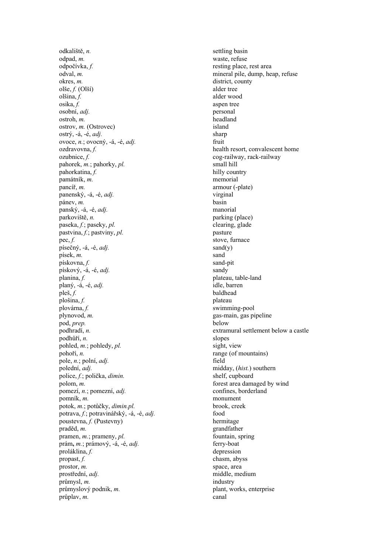odkaliště, *n.* settling basin odpad, *m.* waste, refuse odpočívka, *f.* resting place, rest area odval, *m.* mineral pile, dump, heap, refuse okres, *m.* district, county olše, *f.* (Olší) alder tree olšina, *f.* alder wood osika, *f.* aspen tree osobní, *adj.* aspen tree personal osobní, *adj*. ostroh, *m.* headland ostrov, *m.* (Ostrovec) island ostrý, -á, -é, *adj.* sharp ovoce, *n.*; ovocný, -á, -é, *adj.* fruit ozdravovna, *f.* health resort, convalescent home ozubnice, *f.* cog-railway, rack-railway pahorek, *m.*; pahorky, *pl.* small hill pahorkatina, *f.* hilly country památník, *m.* memorial pancíř, *m.* armour (-plate) panenský, -á, -é, *adj.* virginal pánev, *m.* basin panský, -á, -é, *adj.* manorial parkoviště, *n.* parking (place) paseka, *f*.; paseky, *pl.* clearing, glade pastvina, *f.*; pastviny, *pl.* pasture pec, f. stove, furnace písečný, -á, -é, *adj.* sand(y) písek, *m.* sand pískovna, *f.* sand-pit pískový, -á, -é, *adj.* sandy planina, *f.* plateau, table-land planý, -á, -é, *adj.* idle, barren pleš, *f.* baldhead plošina, *f.* plateau plovárna, *f.* swimming-pool plynovod, *m.* gas-main, gas pipeline pod, *prep.* below podhradí, *n.* extramural settlement below a castle podhůří, *n.* slopes pohled, *m.*; pohledy, *pl.* sight, view pohoří, *n.* range (of mountains) pole, *n.*; polní, *adj.* field polední, *adj.* midday, (*hist.*) southern police, *f*.; polička, *dimin.* shelf, cupboard polom, *m.* forest area damaged by wind pomezí, *n.*; pomezní, *adj.* confines, borderland pomník, *m.* monument potok, *m.*; potůčky, *dimin.pl.* brook, creek potrava, *f.*; potravinářský, -á, -é, *adj*. food<br>poustevna, *f.* (Pustevny) hermitage poustevna,  $\overline{f}$ . (Pustevny) praděd, *m.* grandfather pramen, *m.*; prameny, *pl.* fountain, spring prám**,** *m.*; prámový, -á, -é, *adj.* ferry-boat proláklina, *f.* depression propast, *f.* chasm, abyss prostor, *m.* space, area prostřední, *adj.* middle, medium průmysl, *m.* industry průmyslový podnik, m.<br>
plant, works, enterprise průplav, *m.* canal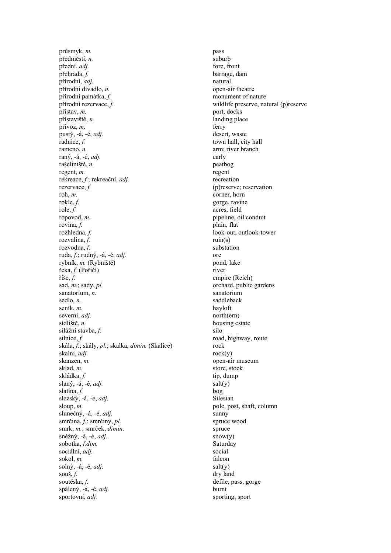průsmyk, *m.* pass předměstí, *n.* suburb přední, *adj.* fore, front přehrada, *f.* barrage, dam přírodní, *adj.* natural přírodní divadlo, *n*. open-air theatre přírodní památka, *f.* monument of nature přírodní rezervace, *f.* wildlife preserve, natural (p)reserve přístav, *m.* port, docks přístaviště, *n.* landing place přívoz, *m.* ferry pustý, -á, -é, *adj*. desert, waste radnice, f. town hall, city hall rameno, *n*. **arm**; river branch raný, -á, -é, *adj.* early rašeliniště, *n.* peatbog regent, *m.* regent rekreace, *f.*; rekreační, *adj.* recreation rezervace, *f.* (p) reserve; reservation roh, *m*. corner, horn rokle, f. gorge, ravine role, *f.* acres, field ropovod, *m.* pipeline, oil conduit rovina, *f.* plain, flat rozhledna, *f.* look-out, outlook-tower rozvalina, *f.* ruin(s) rozvodna *f* substation rozvodna, f. ruda, *f.*; rudný, -á, -é, *adj*. ore rybník, *m.* (Rybniště) pond, lake řeka, *f.* (Poříčí) river říše, *f.* empire (Reich) sad, *m.*; sady, *pl.* orchard, public gardens sanatorium, *n.* sanatorium sedlo, *n.* saddleback seník, *m.* hayloft severní, *adj.* north(ern) sídliště, *n.* housing estate silážní stavba, *f.* silo silnice, f. road, highway, route skála, *f.*; skály, *pl.*; skalka, *dimin.* (Skalice) rock skalní, *adj.* rock(y) skanzen, *m.* open-air museum sklad, *m*. store, stock skládka, *f.* tip, dump slaný,  $-\hat{a}$ ,  $-\hat{e}$ , *adj*. salt(y) slatina, *f.* bog slezský, -á, -é, *adj*. Silesian sloup, m. pole, post, shaft, column slunečný, -á, -é, *adj*. sunny smrčina, *f.*; smrčiny, *pl.* spruce wood smrk, *m.*; smrček, *dimin.* spruce  $\sin\check{e}\check{z}n\check{y}$ , -á, -é, *adj*. snow(y) sobotka, *f.dim.* Saturday sociální, *adj.* social sokol, *m.* falcon solný, -á, -é, *adj*. salt(y) souš, *f.* dry land soutěska, f. defile, pass, gorge spálený, -á, -é, *adj.* burnt sportovní, *adj.* sporting, sport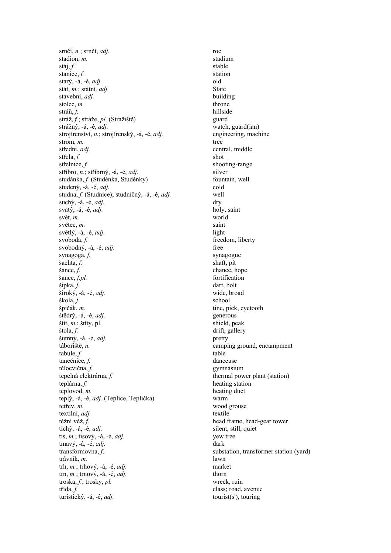srnčí, *n.*; srnčí, *adj.* roe stadium stadium stadium stáj, *f.* stable stanice, *f.* station starý, -á, -é, *adj.* old stát, *m.*; státní, *adj.* State stavební, *adj.* building stolec, *m.* throne stráň, *f.* hillside stráň, f. stráž, *f.*; stráže, *pl.* (Strážiště) guard strážný, -á, -é, *adj.* watch, guard(ian) strojírenství, *n.*; strojírenský, -á, -é, *adj.* engineering, machine strom, *m*. tree střední, *adi*. střela, *f.* shot střelnice, *f.* shooting-range stříbro, *n.*; stříbrný, -á, -é, *adj.* silver studánka, *f.* (Studénka, Studénky) fountain, well studený, -á, -é, *adj*. cold studna, *f.* (Studnice); studničný, -á, -é, *adj.* well suchý, -á, -é, *adj*. dry svatý, -á, -é, *adj.* holy, saint svět, *m.* world světec, *m.* saint světlý, -á, -é, *adj*. light svoboda, f. freedom, liberty svobodný, -á, -é, *adj.* free synagoga, *f.* synagogue sachta, *f.* synagogue shaft, pit šachta, *f.* shaft, pit sance, *f.* shaft, pit chance, h šance, *f.pl.* fortification šipka, *f.* dart, bolt široký, -á, -é, *adj*. wide, broad škola, *f.* school špičák, *m.* tine, pick, eyetooth stědrý, -á, -é, *adj.* tine, pick, eyetooth generous štědrý, -á, -é, adj.  $\delta$ tit, *m.*;  $\delta$ tity, pl. shield, peak štola, *f.* drift, gallery šumný, -á, -é, *adj.* pretty tábořiště, *n.* camping ground, encampment tabule, *f.* table tanečnice, *f.* danceuse tělocvična, *f.* gymnasium tepelná elektrárna, *f.* thermal power plant (station) teplárna, *f.* heating station teplovod, *m.* heating duct teplý, -á, -é, *adj.* (Teplice, Teplička) warm tetřev, *m*. wood grouse textilní, *adj.* textile těžní věž, *f.* head frame, head-gear tower tichý, -á, -é, *adj*. silent, still, quiet tis, *m.*; tisový, -á, -é, *adj.* yew tree tmavý, -á, -é, *adj*. dark transformovna, *f*. substation, transformer station (yard) trávník, *m.* lawn trh, *m.*; trhový, -á, -é, *adj.* market trn,  $m$ .; trnový, -á, -é, *adj*. thorn troska, *f.*; trosky, *pl.* wreck, ruin třída, f. class; road, avenue turistický, -á, -é, *adj.* tourist(s'), touring

chance, hope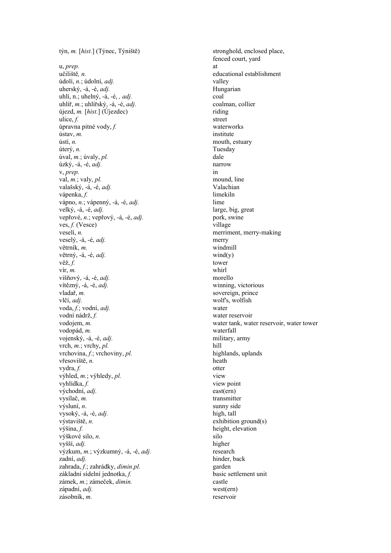u, *prep.* at učiliště*, n.* educational establishment údolí, *n.*; údolní, *adj.* valley uherský, -á, -é, *adj.* Hungarian uhlí, n.; uhelný, -á, -é, *, adj*. coal uhlíř, *m.*; uhlířský, -á, -é, *adj.* coalman, collier  $újezd, m. [hist.]$  ( $Újezdec$ ) riding riding ulice, *f.* street úpravna pitné vody, *f.* waterworks ústav, *m.* institute ústí, *n.* mouth, estuary úterý, *n.* Tuesday úval, *m.*; úvaly, *pl.* dale úzký, -á, -é, *adj.* narrow v, *prep.* in <br>val. *m*.: valv. *pl.* **in** mound. line val,  $m$ .; valy,  $pl$ . valašský, -á, -é, *adj.* Valachian vápenka, *f.* limekiln vápno, *n.*; vápenný, -á, -é, *adj.* lime velký, -á, -é, *adj.* large, big, great vepřové, *n.*; vepřový, -á, -é, *adj.* pork, swine ves, *f.* (Vesce) village veselí, *n.* merriment, merry-making veselý, -á, -é, *adj.* merry větrník, m. větrný, -á, -é, *adj*.<br>
věž. *f*.<br>
tower věž,  $f$ . tower vír, *m.* whirl višňový, -á, -é, *adj.* morello vítězný, -á, -é, *adj.* winning, victorious vladař, m. vlčí, *adj.* wolf's, wolfish voda, *f.*; vodní, *adj.* water vodní nádrž, *f.* water reservoir<br>vodojem, *m.* water tank, wat vodopád, *m.* waterfall vojenský, -á, -é, *adj.* military, army vrch, *m.*; vrchy, *pl.* hill vrchovina, *f.*; vrchoviny, *pl.* highlands, uplands vřesoviště, *n.* heath vydra, *f.* otter výhled, *m.*; výhledy, *pl.* view vyhlídka, *f.* view point východní, *adj.* east(ern) vysílač, *m.* transmitter výsluní, *n*. sunny side vysoký, -á, -é, *adj.* high, tall výstaviště, *n.* exhibition ground(s) výšina, *f.* exhibition ground(s) height, elevation výškové silo, *n*. silo vyšší, *adj.* higher výzkum, *m.*; výzkumný, -á, -é, *adj.* research zadní, *adi*. hinder, back zahrada, *f.*; zahrádky, *dimin.pl.* garden základní sídelní jednotka, *f.* basic settlement unit zámek, *m.*; zámeček, *dimin.* castle západní, *adj.* west(ern) zásobník, *m.* reservoir

týn, *m.* [*hist.*] (Týnec, Týniště) stronghold, enclosed place, fenced court, yard water tank, water reservoir, water tower height, elevation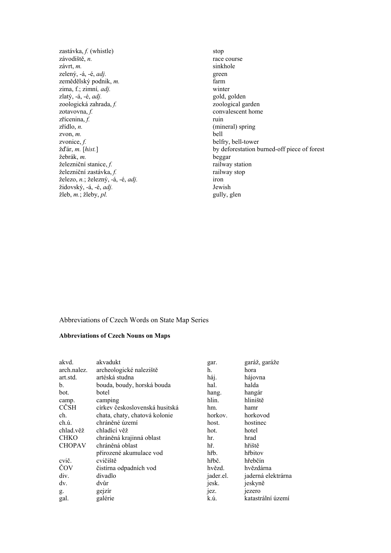zastávka, *f.* (whistle) stop závodiště, *n.* race course závrt, *m.* sinkhole zelený, -á, -é, *adj.* green zemědělský podnik, *m.* farm zima, f.; zimní*, adj.* winter zlatý, -á, -é, *adj.* gold, golden zoologická zahrada, *f.* zoological garden zotavovna, *f.*  $\qquad \qquad \text{convalescent home}$ zřícenina, *f.* ruin zřídlo, *n.* (mineral) spring zvon, *m.* bell zvonice, *f.* belfry, bell-tower žebrák, *m.* beggar železniční stanice, *f.* railway station železniční zastávka, *f.* railway stop<br>
železo, *n*.: železný, -á, -é, *adi*. railway stop iron železo, *n.*; železný, -á, -é, *adj.* iron židovský, -á, -é, adj. žleb, *m.*; žleby, *pl.* gully, glen

convalescent home žďár, *m.* [*hist.*] by deforestation burned-off piece of forest

## Abbreviations of Czech Words on State Map Series

# **Abbreviations of Czech Nouns on Maps**

| akvd.         | akvadukt                       | gar.      | garáž, garáže      |
|---------------|--------------------------------|-----------|--------------------|
| arch.nalez.   | archeologické naleziště        | h.        | hora               |
| art.std.      | artéská studna                 | háj.      | hájovna            |
| b.            | bouda, boudy, horská bouda     | hal.      | halda              |
| bot.          | botel                          | hang.     | hangár             |
| camp.         | camping                        | hlin.     | hliniště           |
| CČSH          | církev československá husitská | hm.       | hamr               |
| ch.           | chata, chaty, chatová kolonie  | horkov.   | horkovod           |
| ch.ú.         | chráněné území                 | host.     | hostinec           |
| chlad.věž     | chladící věž                   | hot.      | hotel              |
| <b>CHKO</b>   | chráněná krajinná oblast       | hr.       | hrad               |
| <b>CHOPAV</b> | chráněná oblast                | hř.       | hřiště             |
|               | přirozené akumulace vod        | hřb.      | hřbitov            |
| cvič.         | cvičiště                       | hřbč.     | hřebčín            |
| ČOV           | čistírna odpadních vod         | hvězd.    | hvězdárna          |
| div.          | divadlo                        | jader.el. | jaderná elektrárna |
| dv.           | dvůr                           | jesk.     | jeskyně            |
| g.            | gejzír                         | eZ        | <sub>1</sub> ezero |
| gal.          | galérie                        | k.ú.      | katastrální území  |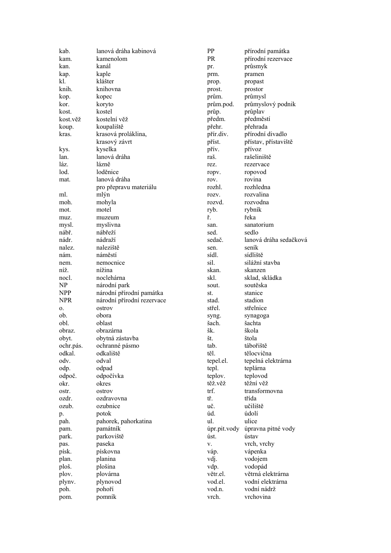| kab.         | lanová dráha kabinová      | PP              | přírodní památka         |
|--------------|----------------------------|-----------------|--------------------------|
| kam.         | kamenolom                  | PR.             | přírodní rezervace       |
| kan.         | kanál                      | pr.             | průsmyk                  |
| kap.         | kaple                      | prm.            | pramen                   |
| kl.          | klášter                    | prop.           | propast                  |
| knih.        | knihovna                   | prost.          | prostor                  |
| kop.         | kopec                      | prům.           | průmysl                  |
| kor.         | koryto                     | prům.pod.       | průmyslový podnik        |
| kost.        | kostel                     | průp.           | průplav                  |
| kost.věž     | kostelní věž               | předm.          | předměstí                |
| koup.        | koupaliště                 | přehr.          | přehrada                 |
| kras.        | krasová proláklina,        | přír.div.       | přírodní divadlo         |
|              | krasový závrt              | příst.          | přístav, přístaviště     |
| kys.         | kyselka                    | přív.           | přívoz                   |
| lan.         | lanová dráha               | raš.            | rašeliniště              |
| láz.         | lázně                      | rez.            | rezervace                |
| lod.         | loděnice                   |                 | ropovod                  |
| mat.         | lanová dráha               | ropv.<br>rov.   | rovina                   |
|              |                            | rozhl.          | rozhledna                |
| ml.          | pro přepravu materiálu     |                 | rozvalina                |
|              | mlýn                       | rozv.           |                          |
| moh.         | mohyla                     | rozvd.          | rozvodna                 |
| mot.         | motel                      | ryb.            | rybník                   |
| muz.         | muzeum                     | ř.              | řeka                     |
| mysl.        | myslivna                   | san.            | sanatorium               |
| nábř.        | nábřeží                    | sed.            | sedlo                    |
| nádr.        | nádraží                    | sedač.          | lanová dráha sedačková   |
| nalez.       | naleziště                  | sen.            | seník                    |
| nám.         | náměstí                    | sídl.           | sídliště                 |
| nem.         | nemocnice                  | sil.            | silážní stavba           |
| níž.         | nížina                     | skan.           | skanzen                  |
| nocl.        | noclehárna                 | skl.            | sklad, skládka           |
| NP           | národní park               | sout.           | soutěska                 |
| <b>NPP</b>   | národní přírodní památka   | st.             | stanice                  |
| <b>NPR</b>   | národní přírodní rezervace | stad.           | stadion                  |
| 0.           | ostrov                     | střel.          | střelnice                |
| ob.          | obora                      | syng.           | synagoga                 |
| obl.         | oblast                     | šach.           | šachta                   |
| obraz.       | obrazárna                  | šk.             | škola                    |
| obyt.        | obytná zástavba            | št.             | štola                    |
| ochr.pás.    | ochranné pásmo             | tab.            | tábořiště                |
| odkal.       | odkaliště                  | těl.            | tělocvična               |
| odv.         | odval                      | tepel.el.       | tepelná elektrárna       |
| odp.         | odpad                      | tepl.           | teplárna                 |
| odpoč.       | odpočívka                  | teplov.         | teplovod                 |
| okr.         | okres                      | těž.věž         | těžní věž                |
| ostr.        | ostrov                     | trf.            | transformovna            |
| ozdr.        | ozdravovna                 | tř.             | třída                    |
| ozub.        | ozubnice                   | uč.             | učiliště                 |
| p.           | potok                      | úd.             | údolí                    |
| pah.         | pahorek, pahorkatina       | ul.             | ulice                    |
|              | památník                   | úpr.pit.vody    | úpravna pitné vody       |
| pam.         | parkoviště                 | úst.            | ústav                    |
| park.        |                            |                 |                          |
| pas.         | paseka                     | V.              | vrch, vrchy              |
| písk.        | pískovna                   | váp.            | vápenka                  |
| plan.        | planina                    | vdj.            | vodojem                  |
| ploš.        | plošina                    | vdp.            | vodopád                  |
| plov.        | plovárna                   | větr.el.        | větrná elektrárna        |
| plynv.       |                            |                 |                          |
|              | plynovod                   | vod.el.         | vodní elektrárna         |
| poh.<br>pom. | pohoří<br>pomník           | vod.n.<br>vrch. | vodní nádrž<br>vrchovina |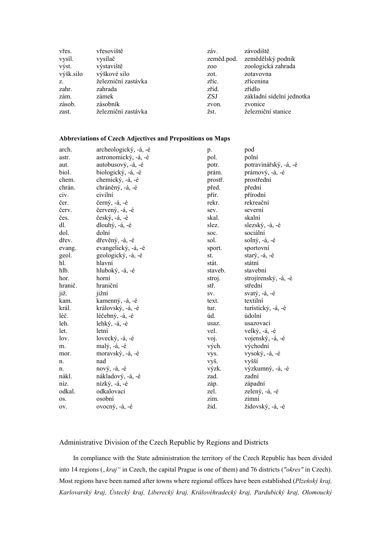| vřes.     | vřesoviště          | záv.             | závodiště                 |
|-----------|---------------------|------------------|---------------------------|
| vysíl.    | vysílač             | zeměd.pod.       | zemědělský podnik         |
| výst.     | výstaviště          | Z <sub>0</sub> 0 | zoologická zahrada        |
| výšk.silo | výškové silo        | zot.             | zotavovna                 |
| Z.        | železniční zastávka | zříc.            | zřícenina                 |
| zahr.     | zahrada             | zříd.            | zřídlo                    |
| zám.      | zámek               | <b>ZSJ</b>       | základní sídelní jednotka |
| zásob.    | zásobník            | zvon.            | zvonice                   |
| zast.     | železniční zastávka | žst.             | železniční stanice        |

## **Abbreviations of Czech Adjectives and Prepositions on Maps**

| arch.   | archeologický, -á, -é | p.      | pod                   |
|---------|-----------------------|---------|-----------------------|
| astr.   | astronomický, -á, -é  | pol.    | polní                 |
| aut.    | autobusový, -á, -é    | potr.   | potravinářský, -á, -é |
| biol.   | biologický, -á, -é    | prám.   | prámový, -á, -é       |
| chem.   | chemický, -á, -é      | prostř. | prostřední            |
| chrán.  | chráněný, -á, -é      | před.   | přední                |
| civ.    | civilní               | přír.   | přírodní              |
| čer.    | černý, $-4$ , $-6$    | rekr.   | rekreační             |
| červ.   | červený, -á, -é       | sev.    | severní               |
| čes.    | český, -á, -é         | skal.   | skalní                |
| dl.     | dlouhý, $-4$ , $-6$   | slez.   | slezský, -á, -é       |
| dol.    | dolní                 | soc.    | sociální              |
| dřev.   | dřevěný, -á, -é       | sol.    | solný, -á, -é         |
| evang.  | evangelický, -á, -é   | sport.  | sportovní             |
| geol.   | geologický, -á, -é    | st.     | starý, $-4$ , $-6$    |
| hl.     | hlavní                | stát.   | státní                |
| hlb.    | hluboký, -á, -é       | staveb. | stavební              |
| hor.    | horní                 | stroj.  | strojírenský, -á, -é  |
| hranič. | hraniční              | stř.    | střední               |
| již.    | jižní                 | SV.     | svatý, $-4$ , $-6$    |
| kam.    | kamenný, -á, -é       | text.   | textilní              |
| král.   | královský, -á, -é     | tur.    | turistický, -á, -é    |
| léč.    | léčebný, -á, -é       | úd.     | údolní                |
| leh.    | lehký, -á, -é         | usaz.   | usazovací             |
| let.    | letní                 | vel.    | velký, -á, -é         |
| lov.    | lovecký, -á, -é       | voj.    | vojenský, -á, -é      |
| m.      | malý, -á, -é          | vých.   | východní              |
| mor.    | moravský, -á, -é      | vys.    | vysoký, -á, -é        |
| n.      | nad                   | vyš.    | vyšší                 |
| n.      | nový, $-4$ , $-6$     | výzk.   | výzkumný, -á, -é      |
| nákl.   | nákladový, -á, -é     | zad.    | zadní                 |
| níz.    | nízký, -á, -é         | záp.    | západní               |
| odkal.  | odkalovací            | zel.    | zelený, -á, -é        |
| OS.     | osobní                | zim.    | zimní                 |
| OV.     | ovocný, -á, -é        | žid.    | židovský, -á, -é      |

## Administrative Division of the Czech Republic by Regions and Districts

In compliance with the State administration the territory of the Czech Republic has been divided into 14 regions (*"kraj*" in Czech, the capital Prague is one of them) and 76 districts ("okres" in Czech). Most regions have been named after towns where regional offices have been established (*Plzeňský kraj, Karlovarský kraj, Ústecký kraj, Liberecký kraj, Královéhradecký kraj, Pardubický kraj, Olomoucký*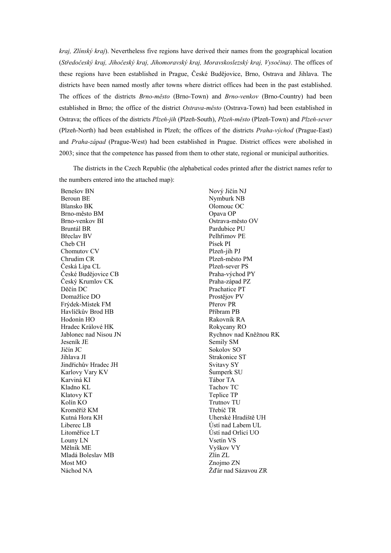*kraj, Zlínský kraj*). Nevertheless five regions have derived their names from the geographical location (*Středočeský kraj, Jihočeský kraj, Jihomoravský kraj, Moravskoslezský kraj, Vysočina)*. The offices of these regions have been established in Prague, České Budějovice, Brno, Ostrava and Jihlava. The districts have been named mostly after towns where district offices had been in the past established. The offices of the districts *Brno-město* (Brno-Town) and *Brno-venkov* (Brno-Country) had been established in Brno; the office of the district *Ostrava-město* (Ostrava-Town) had been established in Ostrava; the offices of the districts *Plzeň-jih* (Plzeň-South), *Plzeň-město* (Plzeň-Town) and *Plzeň-sever*  (Plzeň-North) had been established in Plzeň; the offices of the districts *Praha-východ* (Prague-East) and *Praha-západ* (Prague-West) had been established in Prague. District offices were abolished in 2003; since that the competence has passed from them to other state, regional or municipal authorities.

The districts in the Czech Republic (the alphabetical codes printed after the district names refer to the numbers entered into the attached map):

 Benešov BN Beroun BE Blansko BK Brno-město BM Brno-venkov BI Bruntál BR Břeclav BV Cheb CH Chomutov CV Chrudim CR Česká Lípa CL České Budějovice CB Český Krumlov CK Děčín DC Domažlice DO Frýdek-Místek FM Havlíčkův Brod HB Hodonín HO Hradec Králové HK Jablonec nad Nisou JN Jeseník JE Jičín JC Jihlava JI Jindřichův Hradec JH Karlovy Vary KV Karviná KI Kladno KL Klatovy KT Kolín KO Kroměříž KM Kutná Hora KH Liberec LB Litoměřice LT Louny LN Mělník ME Mladá Boleslav MB Most MO Náchod NA

 Nový Jičín NJ Nymburk NB Olomouc OC Opava OP Ostrava-město OV Pardubice PU Pelhřimov PE Písek PI Plzeň-jih PJ Plzeň-město PM Plzeň-sever PS Praha-východ PY Praha-západ PZ Prachatice PT Prostějov PV Přerov PR Příbram PB Rakovník RA Rokycany RO Rychnov nad Kněžnou RK Semily SM Sokolov SO Strakonice ST Svitavy SY Šumperk SU Tábor TA Tachov TC Teplice TP Trutnov TU Třebíč TR Uherské Hradiště UH Ústí nad Labem UL Ústí nad Orlicí UO Vsetín VS Vyškov VY Zlín ZL Znojmo ZN Žďár nad Sázavou ZR